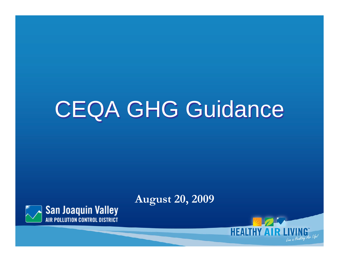# **CEQA GHG Guidance**

#### **August 20, 2009**



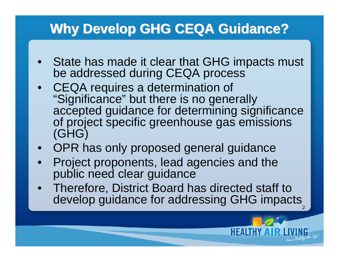#### **Why Develop GHG CEQA Guidance? Why Develop GHG CEQA Guidance?**

- State has made it clear that GHG impacts must be addressed during CEQA process
- CEQA requires a determination of "Significance" but there is no generally accepted guidance for determining significance of project specific greenhouse gas emissions (GHG)
- OPR has only proposed general guidance
- Project proponents, lead agencies and the public need clear guidance
- develop guidance for addressing GHG impacts $\frac{2}{2}$ • Therefore, District Board has directed staff to

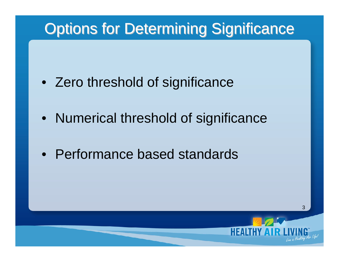- Zero threshold of significance
- Numerical threshold of significance
- Performance based standards

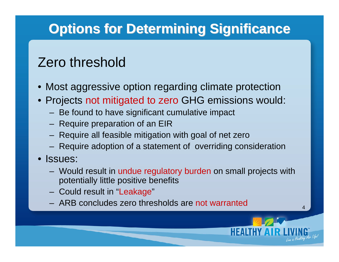#### Zero threshold

- Most aggressive option regarding climate protection
- Projects not mitigated to zero GHG emissions would:
	- Be found to have significant cumulative impact
	- Require preparation of an EIR
	- Require all feasible mitigation with goal of net zero
	- Require adoption of a statement of overriding consideration
- Issues:
	- Would result in undue regulatory burden on small projects with potentially little positive benefits
	- Could result in "Leakage"
	- ARB concludes zero thresholds are not warranted

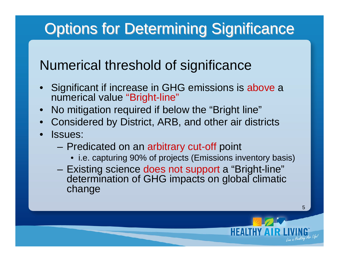#### Numerical threshold of significance

- Significant if increase in GHG emissions is above a numerical value "Bright-line"
- No mitigation required if below the "Bright line"
- Considered by District, ARB, and other air districts
- Issues:
	- Predicated on an arbitrary cut-off point
		- i.e. capturing 90% of projects (Emissions inventory basis)
	- Existing science does not support a "Bright-line" determination of GHG impacts on global climatic change

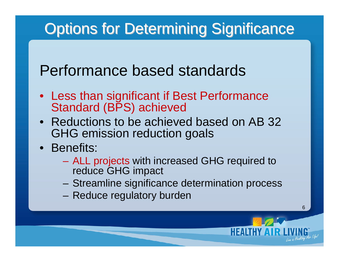## Performance based standards

- Less than significant if Best Performance Standard (BPS) achieved
- Reductions to be achieved based on AB 32 GHG emission reduction goals
- Benefits:
	- ALL projects with increased GHG required to reduce GHG impact
	- Streamline significance determination process
	- Reduce regulatory burden

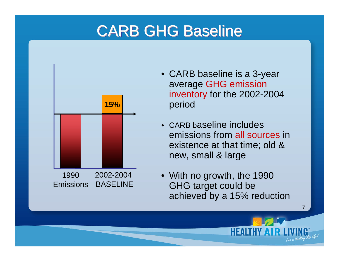## **CARB GHG Baseline**



- CARB baseline is a 3-year average GHG emission inventory for the 2002-2004 period
- CARB baseline includes emissions from all sources in existence at that time; old & new, small & large
- With no growth, the 1990 GHG target could be achieved by a 15% reduction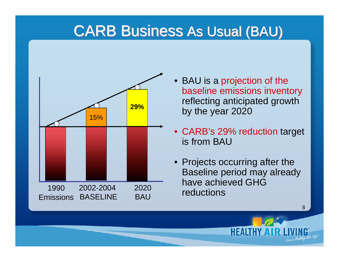### **CARB Business As Usual (BAU)**



- BAU is a projection of the baseline emissions inventory reflecting anticipated growth by the year 2020
- CARB's 29% reduction target is from BAU
- Projects occurring after the Baseline period may already have achieved GHG reductions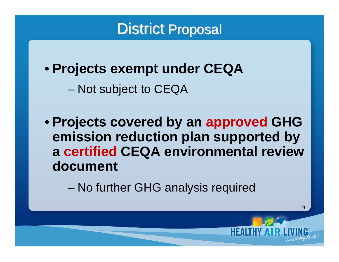• **Projects exempt under CEQA**

– Not subject to CEQA

• **Projects covered by an approved GHG emission reduction plan supported by a certified CEQA environmental review document**

– No further GHG analysis required

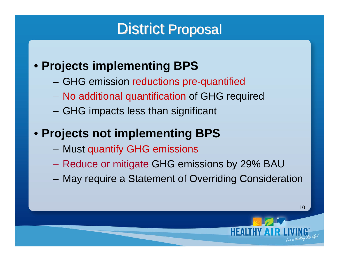#### • **Projects implementing BPS**

- GHG emission reductions pre-quantified
- No additional quantification of GHG required
- GHG impacts less than significant

#### • **Projects not implementing BPS**

- Must quantify GHG emissions
- Reduce or mitigate GHG emissions by 29% BAU
- May require a Statement of Overriding Consideration

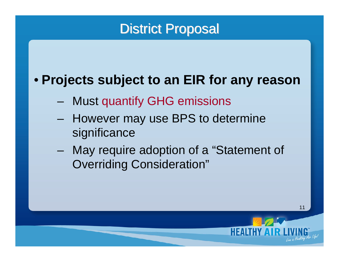#### • **Projects subject to an EIR for any reason**

- Must quantify GHG emissions
- However may use BPS to determine significance
- May require adoption of a "Statement of Overriding Consideration"

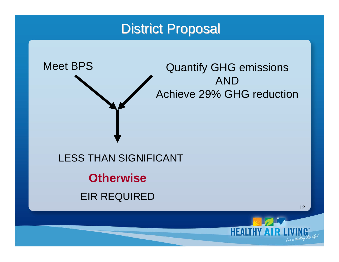# Meet BPS Quantify GHG emissions ANDAchieve 29% GHG reduction

#### LESS THAN SIGNIFICANT

**Otherwise**

EIR REQUIRED

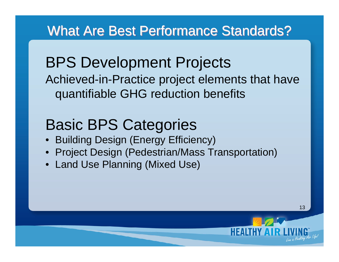#### What Are Best Performance Standards?

BPS Development Projects Achieved-in-Practice project elements that have quantifiable GHG reduction benefits

## Basic BPS Categories

- Building Design (Energy Efficiency)
- Project Design (Pedestrian/Mass Transportation)
- Land Use Planning (Mixed Use)

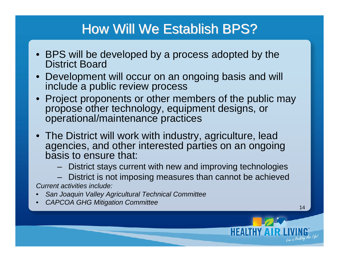#### How Will We Establish BPS?

- BPS will be developed by a process adopted by the District Board
- Development will occur on an ongoing basis and will include a public review process
- Project proponents or other members of the public may propose other technology, equipment designs, or operational/maintenance practices
- The District will work with industry, agriculture, lead agencies, and other interested parties on an ongoing basis to ensure that:
	- District stays current with new and improving technologies

– District is not imposing measures than cannot be achieved *Current activities include:* 

- *San Joaquin Valley Agricultural Technical Committee*
- *CAPCOA GHG Mitigation Committee*

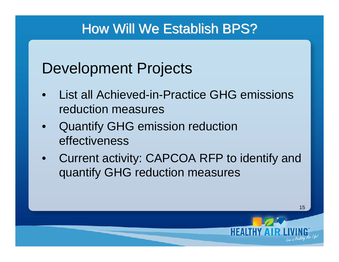#### How Will We Establish BPS?

## Development Projects

- List all Achieved-in-Practice GHG emissions reduction measures
- Quantify GHG emission reduction effectiveness
- Current activity: CAPCOA RFP to identify and quantify GHG reduction measures

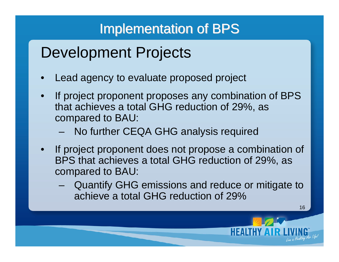#### **Implementation of BPS**

## Development Projects

- Lead agency to evaluate proposed project
- If project proponent proposes any combination of BPS that achieves a total GHG reduction of 29%, as compared to BAU:
	- No further CEQA GHG analysis required
- If project proponent does not propose a combination of BPS that achieves a total GHG reduction of 29%, as compared to BAU:
	- Quantify GHG emissions and reduce or mitigate to achieve a total GHG reduction of 29%